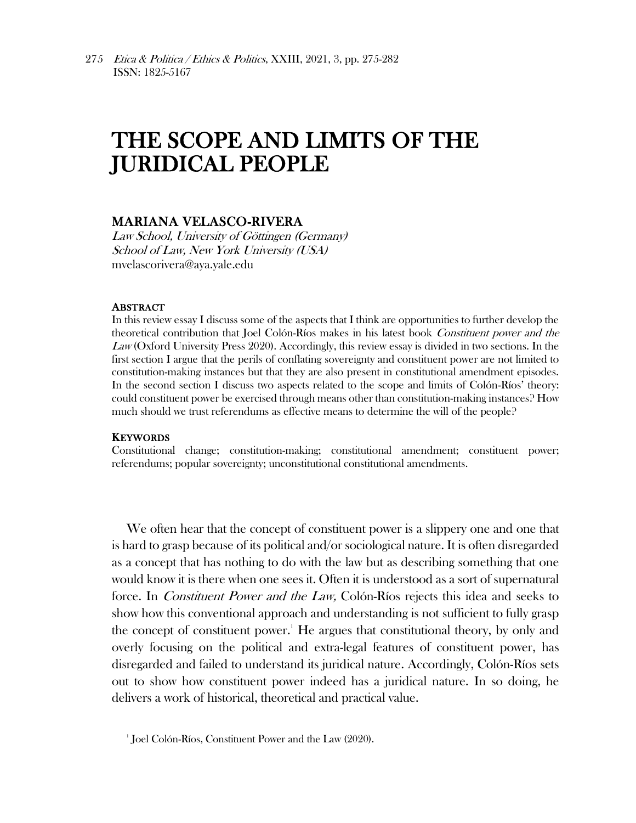# THE SCOPE AND LIMITS OF THE JURIDICAL PEOPLE

# MARIANA VELASCO-RIVERA

Law School, University of Göttingen (Germany) School of Law, New York University (USA) mvelascorivera@aya.yale.edu

### ABSTRACT

In this review essay I discuss some of the aspects that I think are opportunities to further develop the theoretical contribution that Joel Colón-Ríos makes in his latest book Constituent power and the Law (Oxford University Press 2020). Accordingly, this review essay is divided in two sections. In the first section I argue that the perils of conflating sovereignty and constituent power are not limited to constitution-making instances but that they are also present in constitutional amendment episodes. In the second section I discuss two aspects related to the scope and limits of Colón-Ríos' theory: could constituent power be exercised through means other than constitution-making instances? How much should we trust referendums as effective means to determine the will of the people?

#### **KEYWORDS**

Constitutional change; constitution-making; constitutional amendment; constituent power; referendums; popular sovereignty; unconstitutional constitutional amendments.

We often hear that the concept of constituent power is a slippery one and one that is hard to grasp because of its political and/or sociological nature. It is often disregarded as a concept that has nothing to do with the law but as describing something that one would know it is there when one sees it. Often it is understood as a sort of supernatural force. In Constituent Power and the Law, Colón-Ríos rejects this idea and seeks to show how this conventional approach and understanding is not sufficient to fully grasp the concept of constituent power. <sup>1</sup> He argues that constitutional theory, by only and overly focusing on the political and extra-legal features of constituent power, has disregarded and failed to understand its juridical nature. Accordingly, Colón-Ríos sets out to show how constituent power indeed has a juridical nature. In so doing, he delivers a work of historical, theoretical and practical value.

<sup>1</sup> Joel Colón-Ríos, Constituent Power and the Law (2020).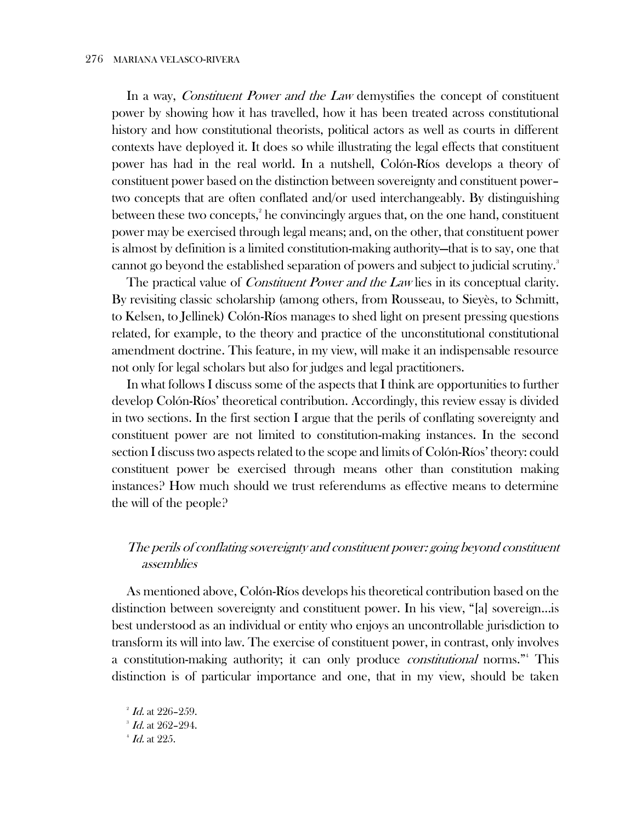In a way, *Constituent Power and the Law* demystifies the concept of constituent power by showing how it has travelled, how it has been treated across constitutional history and how constitutional theorists, political actors as well as courts in different contexts have deployed it. It does so while illustrating the legal effects that constituent power has had in the real world. In a nutshell, Colón-Ríos develops a theory of constituent power based on the distinction between sovereignty and constituent power– two concepts that are often conflated and/or used interchangeably. By distinguishing between these two concepts,<sup>2</sup> he convincingly argues that, on the one hand, constituent power may be exercised through legal means; and, on the other, that constituent power is almost by definition is a limited constitution-making authority—that is to say, one that cannot go beyond the established separation of powers and subject to judicial scrutiny.<sup>3</sup>

The practical value of *Constituent Power and the Law* lies in its conceptual clarity. By revisiting classic scholarship (among others, from Rousseau, to Sieyès, to Schmitt, to Kelsen, to Jellinek) Colón-Ríos manages to shed light on present pressing questions related, for example, to the theory and practice of the unconstitutional constitutional amendment doctrine. This feature, in my view, will make it an indispensable resource not only for legal scholars but also for judges and legal practitioners.

In what follows I discuss some of the aspects that I think are opportunities to further develop Colón-Ríos' theoretical contribution. Accordingly, this review essay is divided in two sections. In the first section I argue that the perils of conflating sovereignty and constituent power are not limited to constitution-making instances. In the second section I discuss two aspects related to the scope and limits of Colón-Ríos' theory: could constituent power be exercised through means other than constitution making instances? How much should we trust referendums as effective means to determine the will of the people?

# The perils of conflating sovereignty and constituent power: going beyond constituent assemblies

As mentioned above, Colón-Ríos develops his theoretical contribution based on the distinction between sovereignty and constituent power. In his view, "[a] sovereign…is best understood as an individual or entity who enjoys an uncontrollable jurisdiction to transform its will into law. The exercise of constituent power, in contrast, only involves a constitution-making authority; it can only produce *constitutional* norms."<sup>4</sup> This distinction is of particular importance and one, that in my view, should be taken

 $4$  Id. at 225.

 $^2$  *Id.* at 226–259.

 $3$  Id. at 262-294.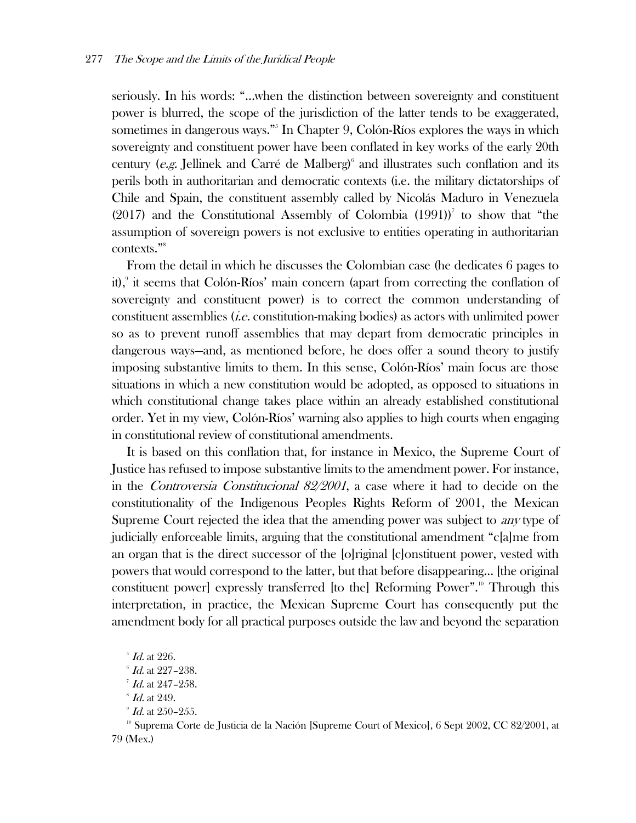seriously. In his words: "…when the distinction between sovereignty and constituent power is blurred, the scope of the jurisdiction of the latter tends to be exaggerated, sometimes in dangerous ways."<sup>5</sup> In Chapter 9, Colón-Ríos explores the ways in which sovereignty and constituent power have been conflated in key works of the early 20th century ( $e.g.$  Jellinek and Carré de Malberg)<sup>6</sup> and illustrates such conflation and its perils both in authoritarian and democratic contexts (i.e. the military dictatorships of Chile and Spain, the constituent assembly called by Nicolás Maduro in Venezuela  $(2017)$  and the Constitutional Assembly of Colombia  $(1991)$ <sup>7</sup> to show that "the assumption of sovereign powers is not exclusive to entities operating in authoritarian contexts."<sup>8</sup>

From the detail in which he discusses the Colombian case (he dedicates 6 pages to it),<sup>9</sup> it seems that Colón-Ríos' main concern (apart from correcting the conflation of sovereignty and constituent power) is to correct the common understanding of constituent assemblies (i.e. constitution-making bodies) as actors with unlimited power so as to prevent runoff assemblies that may depart from democratic principles in dangerous ways—and, as mentioned before, he does offer a sound theory to justify imposing substantive limits to them. In this sense, Colón-Ríos' main focus are those situations in which a new constitution would be adopted, as opposed to situations in which constitutional change takes place within an already established constitutional order. Yet in my view, Colón-Ríos' warning also applies to high courts when engaging in constitutional review of constitutional amendments.

It is based on this conflation that, for instance in Mexico, the Supreme Court of Justice has refused to impose substantive limits to the amendment power. For instance, in the Controversia Constitucional 82/2001, a case where it had to decide on the constitutionality of the Indigenous Peoples Rights Reform of 2001, the Mexican Supreme Court rejected the idea that the amending power was subject to *any* type of judicially enforceable limits, arguing that the constitutional amendment "c[a]me from an organ that is the direct successor of the [o]riginal [c]onstituent power, vested with powers that would correspond to the latter, but that before disappearing… [the original constituent power] expressly transferred [to the] Reforming Power".<sup>10</sup> Through this interpretation, in practice, the Mexican Supreme Court has consequently put the amendment body for all practical purposes outside the law and beyond the separation

<sup>10</sup> Suprema Corte de Justicia de la Nación [Supreme Court of Mexico], 6 Sept 2002, CC 82/2001, at 79 (Mex.)

 $^5$  Id. at 226.

 $6$  Id. at 227-238.

 $^7$  Id. at 247-258.

 $\mathscr{\mathscr{B}}$  *Id.* at 249.

 $^{\circ}$  *Id.* at 250–255.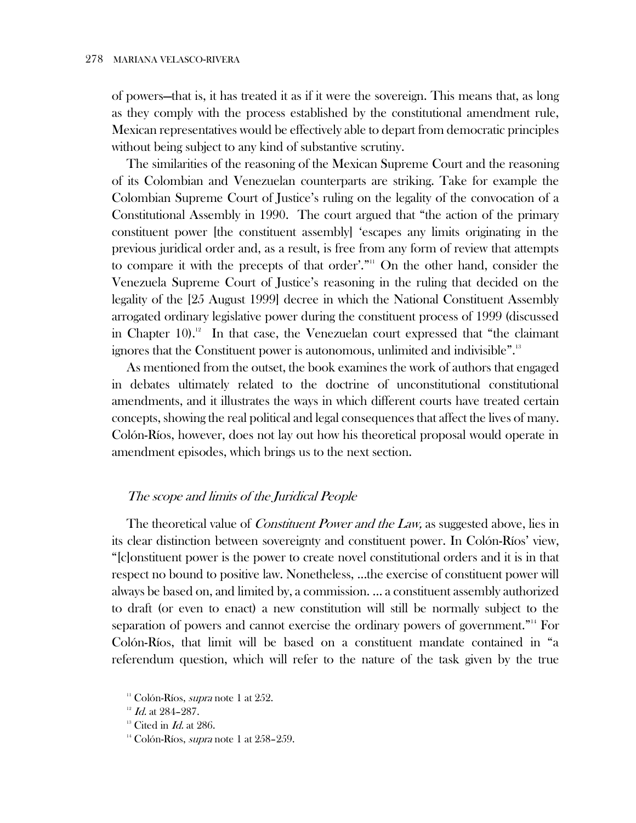of powers—that is, it has treated it as if it were the sovereign. This means that, as long as they comply with the process established by the constitutional amendment rule, Mexican representatives would be effectively able to depart from democratic principles without being subject to any kind of substantive scrutiny.

The similarities of the reasoning of the Mexican Supreme Court and the reasoning of its Colombian and Venezuelan counterparts are striking. Take for example the Colombian Supreme Court of Justice's ruling on the legality of the convocation of a Constitutional Assembly in 1990. The court argued that "the action of the primary constituent power [the constituent assembly] 'escapes any limits originating in the previous juridical order and, as a result, is free from any form of review that attempts to compare it with the precepts of that order'."<sup>11</sup> On the other hand, consider the Venezuela Supreme Court of Justice's reasoning in the ruling that decided on the legality of the [25 August 1999] decree in which the National Constituent Assembly arrogated ordinary legislative power during the constituent process of 1999 (discussed in Chapter 10). 12 In that case, the Venezuelan court expressed that "the claimant ignores that the Constituent power is autonomous, unlimited and indivisible".<sup>13</sup>

As mentioned from the outset, the book examines the work of authors that engaged in debates ultimately related to the doctrine of unconstitutional constitutional amendments, and it illustrates the ways in which different courts have treated certain concepts, showing the real political and legal consequences that affect the lives of many. Colón-Ríos, however, does not lay out how his theoretical proposal would operate in amendment episodes, which brings us to the next section.

## The scope and limits of the Juridical People

The theoretical value of *Constituent Power and the Law*, as suggested above, lies in its clear distinction between sovereignty and constituent power. In Colón-Ríos' view, "[c]onstituent power is the power to create novel constitutional orders and it is in that respect no bound to positive law. Nonetheless, …the exercise of constituent power will always be based on, and limited by, a commission. … a constituent assembly authorized to draft (or even to enact) a new constitution will still be normally subject to the separation of powers and cannot exercise the ordinary powers of government."<sup>14</sup> For Colón-Ríos, that limit will be based on a constituent mandate contained in "a referendum question, which will refer to the nature of the task given by the true

<sup>&</sup>lt;sup>11</sup> Colón-Ríos, *supra* note 1 at  $252$ .

 $12$  Id. at 284-287.

 $13$  Cited in *Id.* at 286.

<sup>&</sup>lt;sup>14</sup> Colón-Ríos, *supra* note 1 at  $258-259$ .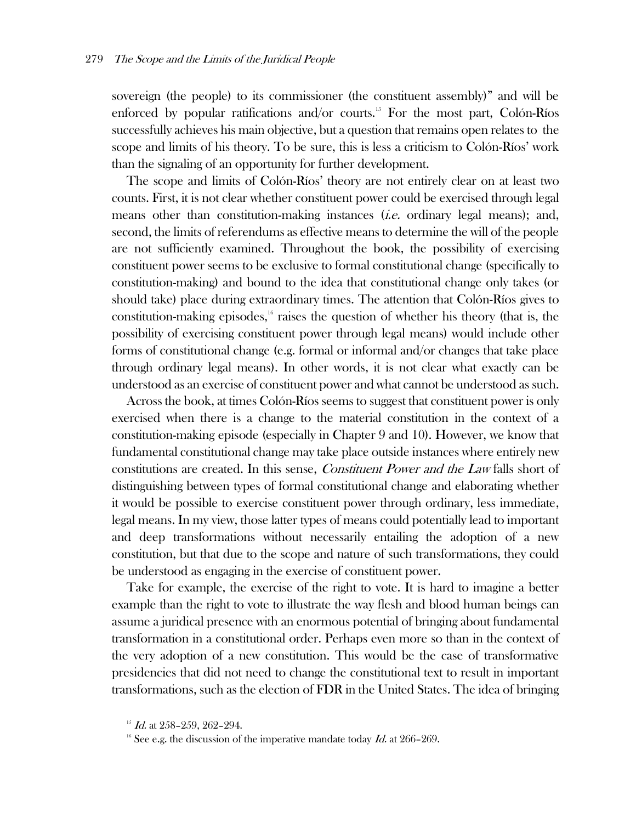sovereign (the people) to its commissioner (the constituent assembly)" and will be enforced by popular ratifications and/or courts.<sup>15</sup> For the most part, Colón-Ríos successfully achieves his main objective, but a question that remains open relates to the scope and limits of his theory. To be sure, this is less a criticism to Colón-Ríos' work than the signaling of an opportunity for further development.

The scope and limits of Colón-Ríos' theory are not entirely clear on at least two counts. First, it is not clear whether constituent power could be exercised through legal means other than constitution-making instances (*i.e.* ordinary legal means); and, second, the limits of referendums as effective means to determine the will of the people are not sufficiently examined. Throughout the book, the possibility of exercising constituent power seems to be exclusive to formal constitutional change (specifically to constitution-making) and bound to the idea that constitutional change only takes (or should take) place during extraordinary times. The attention that Colón-Ríos gives to constitution-making episodes, $\frac{1}{6}$  raises the question of whether his theory (that is, the possibility of exercising constituent power through legal means) would include other forms of constitutional change (e.g. formal or informal and/or changes that take place through ordinary legal means). In other words, it is not clear what exactly can be understood as an exercise of constituent power and what cannot be understood as such.

Across the book, at times Colón-Ríos seems to suggest that constituent power is only exercised when there is a change to the material constitution in the context of a constitution-making episode (especially in Chapter 9 and 10). However, we know that fundamental constitutional change may take place outside instances where entirely new constitutions are created. In this sense, Constituent Power and the Law falls short of distinguishing between types of formal constitutional change and elaborating whether it would be possible to exercise constituent power through ordinary, less immediate, legal means. In my view, those latter types of means could potentially lead to important and deep transformations without necessarily entailing the adoption of a new constitution, but that due to the scope and nature of such transformations, they could be understood as engaging in the exercise of constituent power.

Take for example, the exercise of the right to vote. It is hard to imagine a better example than the right to vote to illustrate the way flesh and blood human beings can assume a juridical presence with an enormous potential of bringing about fundamental transformation in a constitutional order. Perhaps even more so than in the context of the very adoption of a new constitution. This would be the case of transformative presidencies that did not need to change the constitutional text to result in important transformations, such as the election of FDR in the United States. The idea of bringing

 $15$  Id. at 258-259, 262-294.

<sup>&</sup>lt;sup>16</sup> See e.g. the discussion of the imperative mandate today  $Id$ . at 266–269.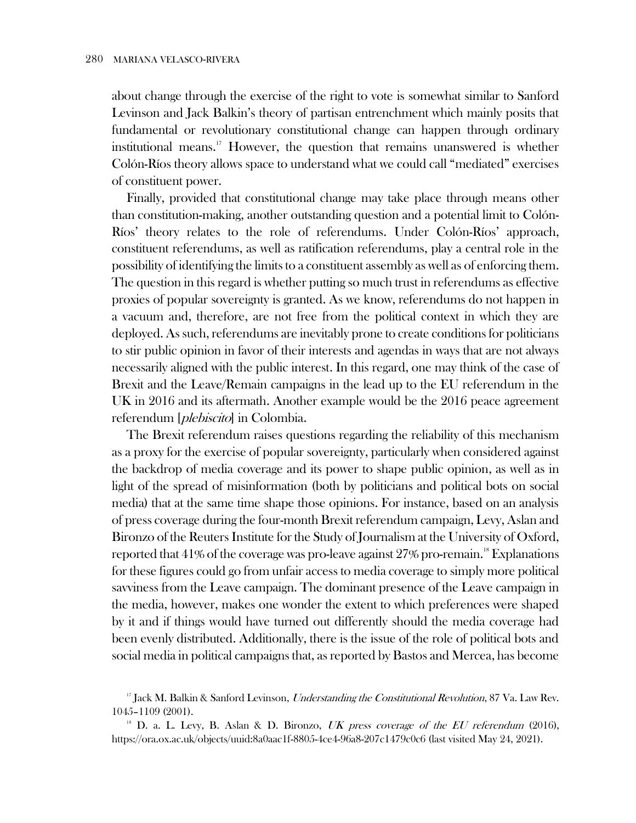about change through the exercise of the right to vote is somewhat similar to Sanford Levinson and Jack Balkin's theory of partisan entrenchment which mainly posits that fundamental or revolutionary constitutional change can happen through ordinary institutional means.<sup>17</sup> However, the question that remains unanswered is whether Colón-Ríos theory allows space to understand what we could call "mediated" exercises of constituent power.

Finally, provided that constitutional change may take place through means other than constitution-making, another outstanding question and a potential limit to Colón-Ríos' theory relates to the role of referendums. Under Colón-Ríos' approach, constituent referendums, as well as ratification referendums, play a central role in the possibility of identifying the limits to a constituent assembly as well as of enforcing them. The question in this regard is whether putting so much trust in referendums as effective proxies of popular sovereignty is granted. As we know, referendums do not happen in a vacuum and, therefore, are not free from the political context in which they are deployed. As such, referendums are inevitably prone to create conditions for politicians to stir public opinion in favor of their interests and agendas in ways that are not always necessarily aligned with the public interest. In this regard, one may think of the case of Brexit and the Leave/Remain campaigns in the lead up to the EU referendum in the UK in 2016 and its aftermath. Another example would be the 2016 peace agreement referendum [plebiscito] in Colombia.

The Brexit referendum raises questions regarding the reliability of this mechanism as a proxy for the exercise of popular sovereignty, particularly when considered against the backdrop of media coverage and its power to shape public opinion, as well as in light of the spread of misinformation (both by politicians and political bots on social media) that at the same time shape those opinions. For instance, based on an analysis of press coverage during the four-month Brexit referendum campaign, Levy, Aslan and Bironzo of the Reuters Institute for the Study of Journalism at the University of Oxford, reported that  $41\%$  of the coverage was pro-leave against  $27\%$  pro-remain.<sup>18</sup> Explanations for these figures could go from unfair access to media coverage to simply more political savviness from the Leave campaign. The dominant presence of the Leave campaign in the media, however, makes one wonder the extent to which preferences were shaped by it and if things would have turned out differently should the media coverage had been evenly distributed. Additionally, there is the issue of the role of political bots and social media in political campaigns that, as reported by Bastos and Mercea, has become

<sup>&</sup>lt;sup>17</sup> Jack M. Balkin & Sanford Levinson, *Understanding the Constitutional Revolution*, 87 Va. Law Rev. 1045–1109 (2001).

<sup>&</sup>lt;sup>18</sup> D. a. L. Levy, B. Aslan & D. Bironzo, *UK press coverage of the EU referendum* (2016), https://ora.ox.ac.uk/objects/uuid:8a0aac1f-8805-4ce4-96a8-207c1479c0c6 (last visited May 24, 2021).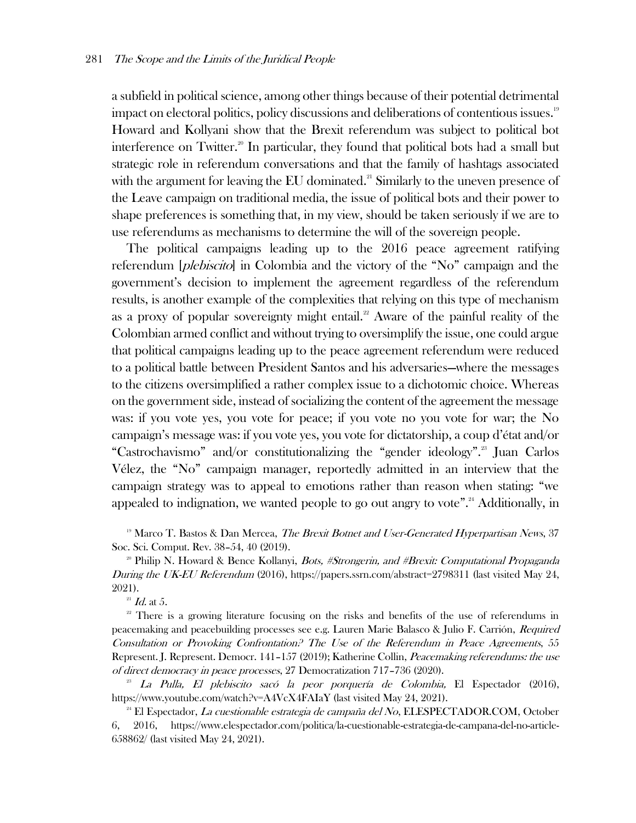a subfield in political science, among other things because of their potential detrimental impact on electoral politics, policy discussions and deliberations of contentious issues.<sup>19</sup> Howard and Kollyani show that the Brexit referendum was subject to political bot interference on Twitter.<sup>20</sup> In particular, they found that political bots had a small but strategic role in referendum conversations and that the family of hashtags associated with the argument for leaving the EU dominated. $21$  Similarly to the uneven presence of the Leave campaign on traditional media, the issue of political bots and their power to shape preferences is something that, in my view, should be taken seriously if we are to use referendums as mechanisms to determine the will of the sovereign people.

The political campaigns leading up to the 2016 peace agreement ratifying referendum *[plebiscito]* in Colombia and the victory of the "No" campaign and the government's decision to implement the agreement regardless of the referendum results, is another example of the complexities that relying on this type of mechanism as a proxy of popular sovereignty might entail.<sup>22</sup> Aware of the painful reality of the Colombian armed conflict and without trying to oversimplify the issue, one could argue that political campaigns leading up to the peace agreement referendum were reduced to a political battle between President Santos and his adversaries—where the messages to the citizens oversimplified a rather complex issue to a dichotomic choice. Whereas on the government side, instead of socializing the content of the agreement the message was: if you vote yes, you vote for peace; if you vote no you vote for war; the No campaign's message was: if you vote yes, you vote for dictatorship, a coup d'état and/or "Castrochavismo" and/or constitutionalizing the "gender ideology".<sup>23</sup> Juan Carlos Vélez, the "No" campaign manager, reportedly admitted in an interview that the campaign strategy was to appeal to emotions rather than reason when stating: "we appealed to indignation, we wanted people to go out angry to vote".<sup>24</sup> Additionally, in

<sup>19</sup> Marco T. Bastos & Dan Mercea, *The Brexit Botnet and User-Generated Hyperpartisan News*, 37 Soc. Sci. Comput. Rev. 38–54, 40 (2019).

<sup>20</sup> Philip N. Howard & Bence Kollanyi, *Bots, #Strongerin, and #Brexit: Computational Propaganda* During the UK-EU Referendum (2016), https://papers.ssrn.com/abstract=2798311 (last visited May 24, 2021).

 $^{21}$   $\emph{Id.}$  at 5.

<sup>22</sup> There is a growing literature focusing on the risks and benefits of the use of referendums in peacemaking and peacebuilding processes see e.g. Lauren Marie Balasco & Julio F. Carrión, Required Consultation or Provoking Confrontation? The Use of the Referendum in Peace Agreements, 55 Represent. J. Represent. Democr. 141–157 (2019); Katherine Collin, Peacemaking referendums: the use of direct democracy in peace processes, 27 Democratization 717–736 (2020).

 $^{23}$  La Pulla, El plebiscito sacó la peor porquería de Colombia, El Espectador (2016), https://www.youtube.com/watch?v=A4VcX4FAIaY (last visited May 24, 2021).

<sup>24</sup> El Espectador, *La cuestionable estrategia de campaña del No*, ELESPECTADOR.COM, October 6, 2016, https://www.elespectador.com/politica/la-cuestionable-estrategia-de-campana-del-no-article-658862/ (last visited May 24, 2021).